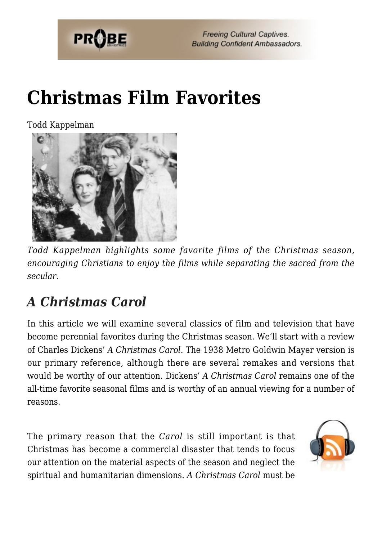

# **[Christmas Film Favorites](https://probe.org/christmas-film-favorites/)**

Todd Kappelman



*Todd Kappelman highlights some favorite films of the Christmas season, encouraging Christians to enjoy the films while separating the sacred from the secular.*

## *A Christmas Carol*

In this article we will examine several classics of film and television that have become perennial favorites during the Christmas season. We'll start with a review of Charles Dickens' *A Christmas Carol*. The 1938 Metro Goldwin Mayer version is our primary reference, although there are several remakes and versions that would be worthy of our attention. Dickens' *A Christmas Carol* remains one of the all-time favorite seasonal films and is worthy of an annual viewing for a number of reasons.

The primary reason that the *Carol* is still important is that Christmas has become a commercial disaster that tends to focus our attention on the material aspects of the season and neglect the spiritual and humanitarian dimensions. *A Christmas Carol* must be

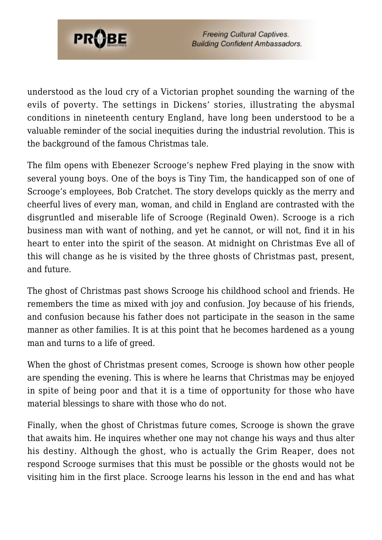

understood as the loud cry of a Victorian prophet sounding the warning of the evils of poverty. The settings in Dickens' stories, illustrating the abysmal conditions in nineteenth century England, have long been understood to be a valuable reminder of the social inequities during the industrial revolution. This is the background of the famous Christmas tale.

The film opens with Ebenezer Scrooge's nephew Fred playing in the snow with several young boys. One of the boys is Tiny Tim, the handicapped son of one of Scrooge's employees, Bob Cratchet. The story develops quickly as the merry and cheerful lives of every man, woman, and child in England are contrasted with the disgruntled and miserable life of Scrooge (Reginald Owen). Scrooge is a rich business man with want of nothing, and yet he cannot, or will not, find it in his heart to enter into the spirit of the season. At midnight on Christmas Eve all of this will change as he is visited by the three ghosts of Christmas past, present, and future.

The ghost of Christmas past shows Scrooge his childhood school and friends. He remembers the time as mixed with joy and confusion. Joy because of his friends, and confusion because his father does not participate in the season in the same manner as other families. It is at this point that he becomes hardened as a young man and turns to a life of greed.

When the ghost of Christmas present comes, Scrooge is shown how other people are spending the evening. This is where he learns that Christmas may be enjoyed in spite of being poor and that it is a time of opportunity for those who have material blessings to share with those who do not.

Finally, when the ghost of Christmas future comes, Scrooge is shown the grave that awaits him. He inquires whether one may not change his ways and thus alter his destiny. Although the ghost, who is actually the Grim Reaper, does not respond Scrooge surmises that this must be possible or the ghosts would not be visiting him in the first place. Scrooge learns his lesson in the end and has what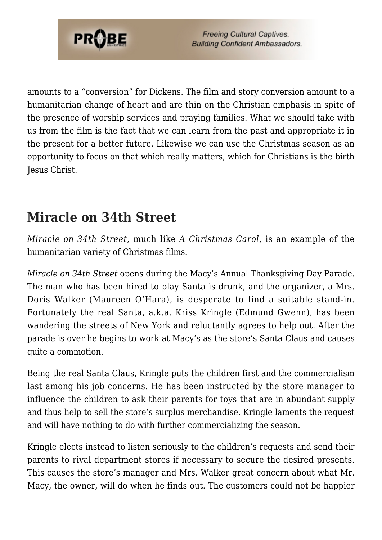

amounts to a "conversion" for Dickens. The film and story conversion amount to a humanitarian change of heart and are thin on the Christian emphasis in spite of the presence of worship services and praying families. What we should take with us from the film is the fact that we can learn from the past and appropriate it in the present for a better future. Likewise we can use the Christmas season as an opportunity to focus on that which really matters, which for Christians is the birth Jesus Christ.

#### **Miracle on 34th Street**

*Miracle on 34th Street,* much like *A Christmas Carol,* is an example of the humanitarian variety of Christmas films.

*Miracle on 34th Street* opens during the Macy's Annual Thanksgiving Day Parade. The man who has been hired to play Santa is drunk, and the organizer, a Mrs. Doris Walker (Maureen O'Hara), is desperate to find a suitable stand-in. Fortunately the real Santa, a.k.a. Kriss Kringle (Edmund Gwenn), has been wandering the streets of New York and reluctantly agrees to help out. After the parade is over he begins to work at Macy's as the store's Santa Claus and causes quite a commotion.

Being the real Santa Claus, Kringle puts the children first and the commercialism last among his job concerns. He has been instructed by the store manager to influence the children to ask their parents for toys that are in abundant supply and thus help to sell the store's surplus merchandise. Kringle laments the request and will have nothing to do with further commercializing the season.

Kringle elects instead to listen seriously to the children's requests and send their parents to rival department stores if necessary to secure the desired presents. This causes the store's manager and Mrs. Walker great concern about what Mr. Macy, the owner, will do when he finds out. The customers could not be happier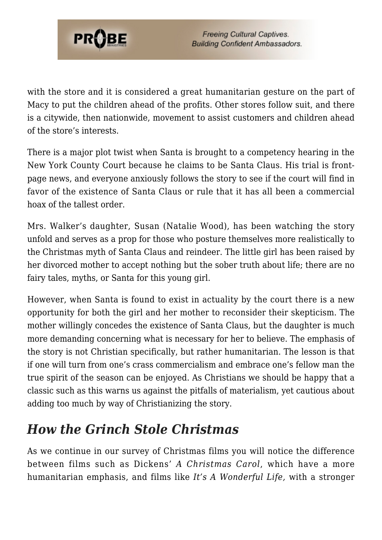

with the store and it is considered a great humanitarian gesture on the part of Macy to put the children ahead of the profits. Other stores follow suit, and there is a citywide, then nationwide, movement to assist customers and children ahead of the store's interests.

There is a major plot twist when Santa is brought to a competency hearing in the New York County Court because he claims to be Santa Claus. His trial is frontpage news, and everyone anxiously follows the story to see if the court will find in favor of the existence of Santa Claus or rule that it has all been a commercial hoax of the tallest order.

Mrs. Walker's daughter, Susan (Natalie Wood), has been watching the story unfold and serves as a prop for those who posture themselves more realistically to the Christmas myth of Santa Claus and reindeer. The little girl has been raised by her divorced mother to accept nothing but the sober truth about life; there are no fairy tales, myths, or Santa for this young girl.

However, when Santa is found to exist in actuality by the court there is a new opportunity for both the girl and her mother to reconsider their skepticism. The mother willingly concedes the existence of Santa Claus, but the daughter is much more demanding concerning what is necessary for her to believe. The emphasis of the story is not Christian specifically, but rather humanitarian. The lesson is that if one will turn from one's crass commercialism and embrace one's fellow man the true spirit of the season can be enjoyed. As Christians we should be happy that a classic such as this warns us against the pitfalls of materialism, yet cautious about adding too much by way of Christianizing the story.

#### *How the Grinch Stole Christmas*

As we continue in our survey of Christmas films you will notice the difference between films such as Dickens' *A Christmas Carol*, which have a more humanitarian emphasis, and films like *It's A Wonderful Life,* with a stronger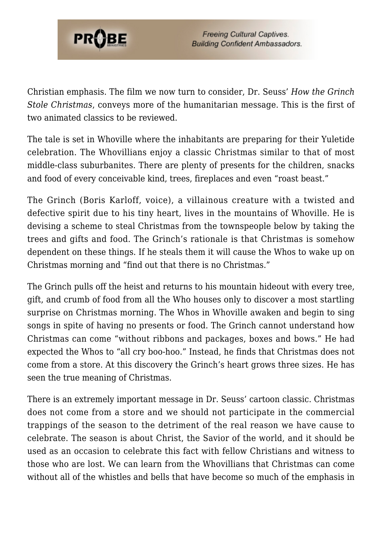

Christian emphasis. The film we now turn to consider, Dr. Seuss' *How the Grinch Stole Christmas*, conveys more of the humanitarian message. This is the first of two animated classics to be reviewed.

The tale is set in Whoville where the inhabitants are preparing for their Yuletide celebration. The Whovillians enjoy a classic Christmas similar to that of most middle-class suburbanites. There are plenty of presents for the children, snacks and food of every conceivable kind, trees, fireplaces and even "roast beast."

The Grinch (Boris Karloff, voice), a villainous creature with a twisted and defective spirit due to his tiny heart, lives in the mountains of Whoville. He is devising a scheme to steal Christmas from the townspeople below by taking the trees and gifts and food. The Grinch's rationale is that Christmas is somehow dependent on these things. If he steals them it will cause the Whos to wake up on Christmas morning and "find out that there is no Christmas."

The Grinch pulls off the heist and returns to his mountain hideout with every tree, gift, and crumb of food from all the Who houses only to discover a most startling surprise on Christmas morning. The Whos in Whoville awaken and begin to sing songs in spite of having no presents or food. The Grinch cannot understand how Christmas can come "without ribbons and packages, boxes and bows." He had expected the Whos to "all cry boo-hoo." Instead, he finds that Christmas does not come from a store. At this discovery the Grinch's heart grows three sizes. He has seen the true meaning of Christmas.

There is an extremely important message in Dr. Seuss' cartoon classic. Christmas does not come from a store and we should not participate in the commercial trappings of the season to the detriment of the real reason we have cause to celebrate. The season is about Christ, the Savior of the world, and it should be used as an occasion to celebrate this fact with fellow Christians and witness to those who are lost. We can learn from the Whovillians that Christmas can come without all of the whistles and bells that have become so much of the emphasis in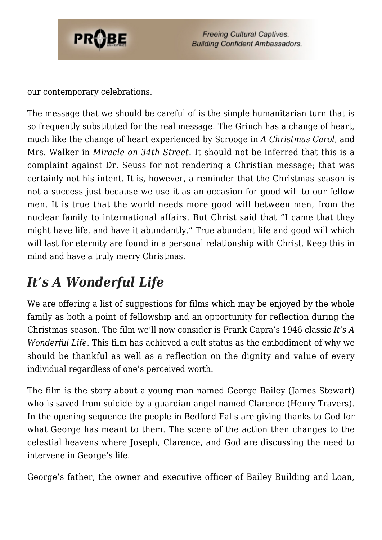

our contemporary celebrations.

The message that we should be careful of is the simple humanitarian turn that is so frequently substituted for the real message. The Grinch has a change of heart, much like the change of heart experienced by Scrooge in *A Christmas Carol*, and Mrs. Walker in *Miracle on 34th Street*. It should not be inferred that this is a complaint against Dr. Seuss for not rendering a Christian message; that was certainly not his intent. It is, however, a reminder that the Christmas season is not a success just because we use it as an occasion for good will to our fellow men. It is true that the world needs more good will between men, from the nuclear family to international affairs. But Christ said that "I came that they might have life, and have it abundantly." True abundant life and good will which will last for eternity are found in a personal relationship with Christ. Keep this in mind and have a truly merry Christmas.

#### *It's A Wonderful Life*

We are offering a list of suggestions for films which may be enjoyed by the whole family as both a point of fellowship and an opportunity for reflection during the Christmas season. The film we'll now consider is Frank Capra's 1946 classic *It's A Wonderful Life*. This film has achieved a cult status as the embodiment of why we should be thankful as well as a reflection on the dignity and value of every individual regardless of one's perceived worth.

The film is the story about a young man named George Bailey (James Stewart) who is saved from suicide by a guardian angel named Clarence (Henry Travers). In the opening sequence the people in Bedford Falls are giving thanks to God for what George has meant to them. The scene of the action then changes to the celestial heavens where Joseph, Clarence, and God are discussing the need to intervene in George's life.

George's father, the owner and executive officer of Bailey Building and Loan,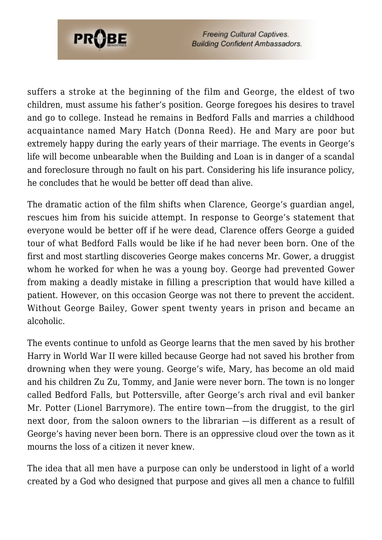

suffers a stroke at the beginning of the film and George, the eldest of two children, must assume his father's position. George foregoes his desires to travel and go to college. Instead he remains in Bedford Falls and marries a childhood acquaintance named Mary Hatch (Donna Reed). He and Mary are poor but extremely happy during the early years of their marriage. The events in George's life will become unbearable when the Building and Loan is in danger of a scandal and foreclosure through no fault on his part. Considering his life insurance policy, he concludes that he would be better off dead than alive.

The dramatic action of the film shifts when Clarence, George's guardian angel, rescues him from his suicide attempt. In response to George's statement that everyone would be better off if he were dead, Clarence offers George a guided tour of what Bedford Falls would be like if he had never been born. One of the first and most startling discoveries George makes concerns Mr. Gower, a druggist whom he worked for when he was a young boy. George had prevented Gower from making a deadly mistake in filling a prescription that would have killed a patient. However, on this occasion George was not there to prevent the accident. Without George Bailey, Gower spent twenty years in prison and became an alcoholic.

The events continue to unfold as George learns that the men saved by his brother Harry in World War II were killed because George had not saved his brother from drowning when they were young. George's wife, Mary, has become an old maid and his children Zu Zu, Tommy, and Janie were never born. The town is no longer called Bedford Falls, but Pottersville, after George's arch rival and evil banker Mr. Potter (Lionel Barrymore). The entire town—from the druggist, to the girl next door, from the saloon owners to the librarian —is different as a result of George's having never been born. There is an oppressive cloud over the town as it mourns the loss of a citizen it never knew.

The idea that all men have a purpose can only be understood in light of a world created by a God who designed that purpose and gives all men a chance to fulfill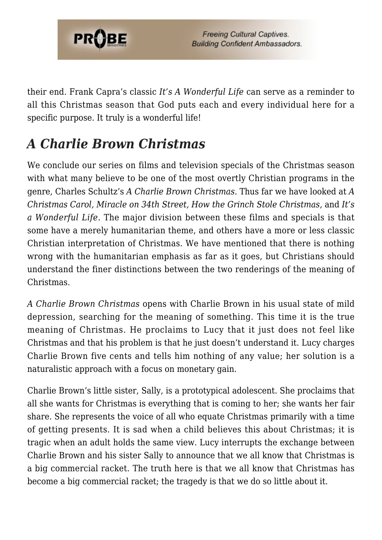

their end. Frank Capra's classic *It's A Wonderful Life* can serve as a reminder to all this Christmas season that God puts each and every individual here for a specific purpose. It truly is a wonderful life!

### *A Charlie Brown Christmas*

We conclude our series on films and television specials of the Christmas season with what many believe to be one of the most overtly Christian programs in the genre, Charles Schultz's *A Charlie Brown Christmas*. Thus far we have looked at *A Christmas Carol, Miracle on 34th Street, How the Grinch Stole Christmas,* and *It's a Wonderful Life*. The major division between these films and specials is that some have a merely humanitarian theme, and others have a more or less classic Christian interpretation of Christmas. We have mentioned that there is nothing wrong with the humanitarian emphasis as far as it goes, but Christians should understand the finer distinctions between the two renderings of the meaning of Christmas.

*A Charlie Brown Christmas* opens with Charlie Brown in his usual state of mild depression, searching for the meaning of something. This time it is the true meaning of Christmas. He proclaims to Lucy that it just does not feel like Christmas and that his problem is that he just doesn't understand it. Lucy charges Charlie Brown five cents and tells him nothing of any value; her solution is a naturalistic approach with a focus on monetary gain.

Charlie Brown's little sister, Sally, is a prototypical adolescent. She proclaims that all she wants for Christmas is everything that is coming to her; she wants her fair share. She represents the voice of all who equate Christmas primarily with a time of getting presents. It is sad when a child believes this about Christmas; it is tragic when an adult holds the same view. Lucy interrupts the exchange between Charlie Brown and his sister Sally to announce that we all know that Christmas is a big commercial racket. The truth here is that we all know that Christmas has become a big commercial racket; the tragedy is that we do so little about it.